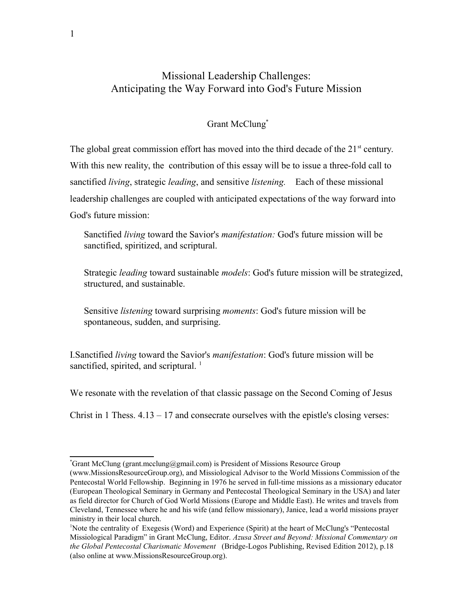## Missional Leadership Challenges: Anticipating the Way Forward into God's Future Mission

## Grant McClung\*

The global great commission effort has moved into the third decade of the  $21<sup>st</sup>$  century. With this new reality, the contribution of this essay will be to issue a three-fold call to sanctified living, strategic leading, and sensitive listening. Each of these missional leadership challenges are coupled with anticipated expectations of the way forward into God's future mission:

Sanctified living toward the Savior's manifestation: God's future mission will be sanctified, spiritized, and scriptural.

Strategic *leading* toward sustainable *models*: God's future mission will be strategized, structured, and sustainable.

Sensitive listening toward surprising moments: God's future mission will be spontaneous, sudden, and surprising.

I.Sanctified living toward the Savior's manifestation: God's future mission will be sanctified, spirited, and scriptural.  $<sup>1</sup>$ </sup>

We resonate with the revelation of that classic passage on the Second Coming of Jesus

Christ in 1 Thess.  $4.13 - 17$  and consecrate ourselves with the epistle's closing verses:

<sup>\*</sup>Grant McClung (grant.mcclung@gmail.com) is President of Missions Resource Group

<sup>(</sup>www.MissionsResourceGroup.org), and Missiological Advisor to the World Missions Commission of the Pentecostal World Fellowship. Beginning in 1976 he served in full-time missions as a missionary educator (European Theological Seminary in Germany and Pentecostal Theological Seminary in the USA) and later as field director for Church of God World Missions (Europe and Middle East). He writes and travels from Cleveland, Tennessee where he and his wife (and fellow missionary), Janice, lead a world missions prayer ministry in their local church.

<sup>1</sup>Note the centrality of Exegesis (Word) and Experience (Spirit) at the heart of McClung's "Pentecostal Missiological Paradigm" in Grant McClung, Editor. Azusa Street and Beyond: Missional Commentary on the Global Pentecostal Charismatic Movement (Bridge-Logos Publishing, Revised Edition 2012), p.18 (also online at www.MissionsResourceGroup.org).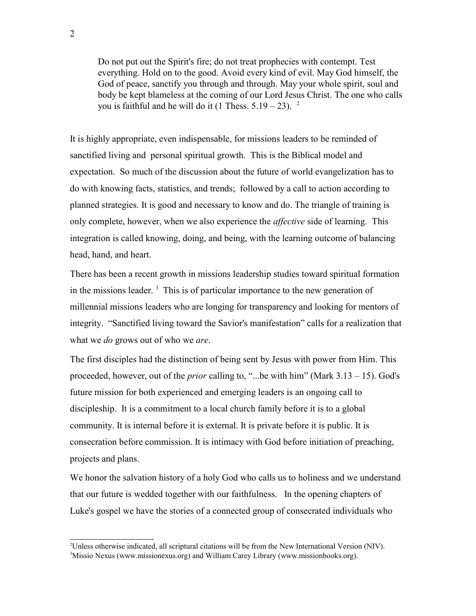Do not put out the Spirit's fire; do not treat prophecies with contempt. Test everything. Hold on to the good. Avoid every kind of evil. May God himself, the God of peace, sanctify you through and through. May your whole spirit, soul and body be kept blameless at the coming of our Lord Jesus Christ. The one who calls you is faithful and he will do it (1 Thess.  $5.19 - 23$ ). <sup>2</sup>

It is highly appropriate, even indispensable, for missions leaders to be reminded of sanctified living and personal spiritual growth. This is the Biblical model and expectation. So much of the discussion about the future of world evangelization has to do with knowing facts, statistics, and trends; followed by a call to action according to planned strategies. It is good and necessary to know and do. The triangle of training is only complete, however, when we also experience the *affective* side of learning. This integration is called knowing, doing, and being, with the learning outcome of balancing head, hand, and heart.

There has been a recent growth in missions leadership studies toward spiritual formation in the missions leader.  $3$  This is of particular importance to the new generation of millennial missions leaders who are longing for transparency and looking for mentors of integrity. "Sanctified living toward the Savior's manifestation" calls for a realization that what we *do* grows out of who we *are*.

The first disciples had the distinction of being sent by Jesus with power from Him. This proceeded, however, out of the *prior* calling to, "...be with him" (Mark  $3.13 - 15$ ). God's future mission for both experienced and emerging leaders is an ongoing call to discipleship. It is a commitment to a local church family before it is to a global community. It is internal before it is external. It is private before it is public. It is consecration before commission. It is intimacy with God before initiation of preaching, projects and plans.

We honor the salvation history of a holy God who calls us to holiness and we understand that our future is wedded together with our faithfulness. In the opening chapters of Luke's gospel we have the stories of a connected group of consecrated individuals who

<sup>2</sup>Unless otherwise indicated, all scriptural citations will be from the New International Version (NIV). 3Missio Nexus (www.missionexus.org) and William Carey Library (www.missionbooks.org).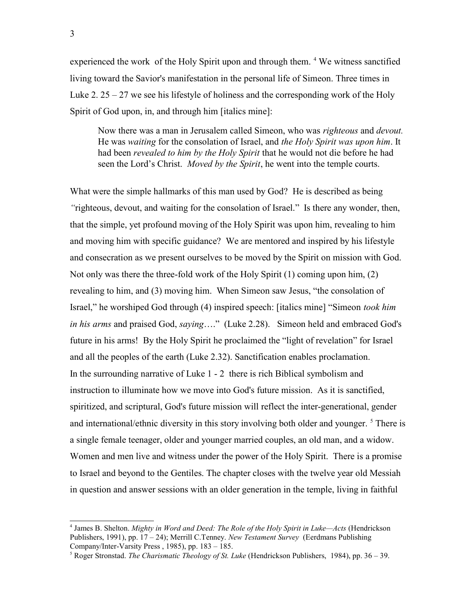experienced the work of the Holy Spirit upon and through them.<sup>4</sup> We witness sanctified living toward the Savior's manifestation in the personal life of Simeon. Three times in Luke 2.  $25 - 27$  we see his lifestyle of holiness and the corresponding work of the Holy Spirit of God upon, in, and through him [italics mine]:

Now there was a man in Jerusalem called Simeon, who was righteous and devout. He was waiting for the consolation of Israel, and the Holy Spirit was upon him. It had been *revealed to him by the Holy Spirit* that he would not die before he had seen the Lord's Christ. *Moved by the Spirit*, he went into the temple courts.

What were the simple hallmarks of this man used by God? He is described as being "righteous, devout, and waiting for the consolation of Israel." Is there any wonder, then, that the simple, yet profound moving of the Holy Spirit was upon him, revealing to him and moving him with specific guidance? We are mentored and inspired by his lifestyle and consecration as we present ourselves to be moved by the Spirit on mission with God. Not only was there the three-fold work of the Holy Spirit (1) coming upon him, (2) revealing to him, and (3) moving him. When Simeon saw Jesus, "the consolation of Israel," he worshiped God through (4) inspired speech: [italics mine] "Simeon took him in his arms and praised God, saying...." (Luke 2.28). Simeon held and embraced God's future in his arms! By the Holy Spirit he proclaimed the "light of revelation" for Israel and all the peoples of the earth (Luke 2.32). Sanctification enables proclamation. In the surrounding narrative of Luke 1 - 2 there is rich Biblical symbolism and instruction to illuminate how we move into God's future mission. As it is sanctified, spiritized, and scriptural, God's future mission will reflect the inter-generational, gender and international/ethnic diversity in this story involving both older and younger.  $<sup>5</sup>$  There is</sup> a single female teenager, older and younger married couples, an old man, and a widow. Women and men live and witness under the power of the Holy Spirit. There is a promise to Israel and beyond to the Gentiles. The chapter closes with the twelve year old Messiah in question and answer sessions with an older generation in the temple, living in faithful

<sup>&</sup>lt;sup>4</sup> James B. Shelton. Mighty in Word and Deed: The Role of the Holy Spirit in Luke—Acts (Hendrickson Publishers, 1991), pp.  $17 - 24$ ; Merrill C.Tenney. New Testament Survey (Eerdmans Publishing Company/Inter-Varsity Press , 1985), pp. 183 – 185.

<sup>&</sup>lt;sup>5</sup> Roger Stronstad. *The Charismatic Theology of St. Luke* (Hendrickson Publishers, 1984), pp. 36 – 39.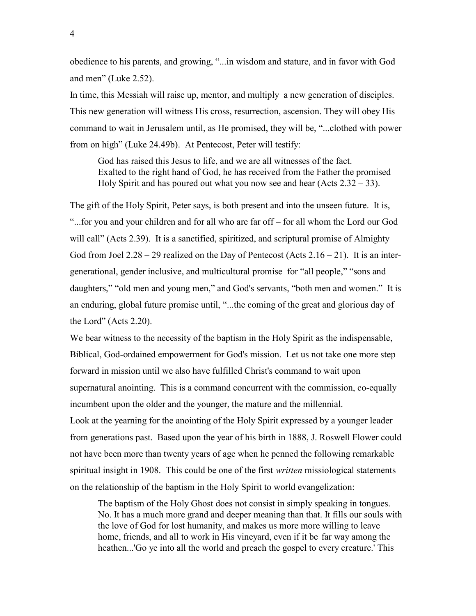obedience to his parents, and growing, "...in wisdom and stature, and in favor with God and men" (Luke 2.52).

In time, this Messiah will raise up, mentor, and multiply a new generation of disciples. This new generation will witness His cross, resurrection, ascension. They will obey His command to wait in Jerusalem until, as He promised, they will be, "...clothed with power from on high" (Luke 24.49b). At Pentecost, Peter will testify:

God has raised this Jesus to life, and we are all witnesses of the fact. Exalted to the right hand of God, he has received from the Father the promised Holy Spirit and has poured out what you now see and hear  $(Acts 2.32 – 33)$ .

The gift of the Holy Spirit, Peter says, is both present and into the unseen future. It is, "...for you and your children and for all who are far off – for all whom the Lord our God will call" (Acts 2.39). It is a sanctified, spiritized, and scriptural promise of Almighty God from Joel  $2.28 - 29$  realized on the Day of Pentecost (Acts  $2.16 - 21$ ). It is an intergenerational, gender inclusive, and multicultural promise for "all people," "sons and daughters," "old men and young men," and God's servants, "both men and women." It is an enduring, global future promise until, "...the coming of the great and glorious day of the Lord" (Acts 2.20).

We bear witness to the necessity of the baptism in the Holy Spirit as the indispensable, Biblical, God-ordained empowerment for God's mission. Let us not take one more step forward in mission until we also have fulfilled Christ's command to wait upon supernatural anointing. This is a command concurrent with the commission, co-equally incumbent upon the older and the younger, the mature and the millennial. Look at the yearning for the anointing of the Holy Spirit expressed by a younger leader from generations past. Based upon the year of his birth in 1888, J. Roswell Flower could not have been more than twenty years of age when he penned the following remarkable spiritual insight in 1908. This could be one of the first *written* missiological statements on the relationship of the baptism in the Holy Spirit to world evangelization:

The baptism of the Holy Ghost does not consist in simply speaking in tongues. No. It has a much more grand and deeper meaning than that. It fills our souls with the love of God for lost humanity, and makes us more more willing to leave home, friends, and all to work in His vineyard, even if it be far way among the heathen...'Go ye into all the world and preach the gospel to every creature.' This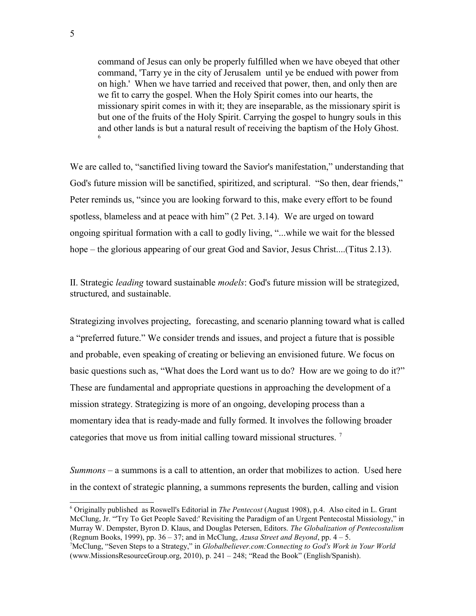command of Jesus can only be properly fulfilled when we have obeyed that other command, 'Tarry ye in the city of Jerusalem until ye be endued with power from on high.' When we have tarried and received that power, then, and only then are we fit to carry the gospel. When the Holy Spirit comes into our hearts, the missionary spirit comes in with it; they are inseparable, as the missionary spirit is but one of the fruits of the Holy Spirit. Carrying the gospel to hungry souls in this and other lands is but a natural result of receiving the baptism of the Holy Ghost. 6

We are called to, "sanctified living toward the Savior's manifestation," understanding that God's future mission will be sanctified, spiritized, and scriptural. "So then, dear friends," Peter reminds us, "since you are looking forward to this, make every effort to be found spotless, blameless and at peace with him" (2 Pet. 3.14). We are urged on toward ongoing spiritual formation with a call to godly living, "...while we wait for the blessed hope – the glorious appearing of our great God and Savior, Jesus Christ....(Titus 2.13).

II. Strategic leading toward sustainable models: God's future mission will be strategized, structured, and sustainable.

Strategizing involves projecting, forecasting, and scenario planning toward what is called a "preferred future." We consider trends and issues, and project a future that is possible and probable, even speaking of creating or believing an envisioned future. We focus on basic questions such as, "What does the Lord want us to do? How are we going to do it?" These are fundamental and appropriate questions in approaching the development of a mission strategy. Strategizing is more of an ongoing, developing process than a momentary idea that is ready-made and fully formed. It involves the following broader categories that move us from initial calling toward missional structures.<sup>7</sup>

Summons – a summons is a call to attention, an order that mobilizes to action. Used here in the context of strategic planning, a summons represents the burden, calling and vision

<sup>&</sup>lt;sup>6</sup> Originally published as Roswell's Editorial in *The Pentecost* (August 1908), p.4. Also cited in L. Grant McClung, Jr. "'Try To Get People Saved:' Revisiting the Paradigm of an Urgent Pentecostal Missiology," in Murray W. Dempster, Byron D. Klaus, and Douglas Petersen, Editors. The Globalization of Pentecostalism (Regnum Books, 1999), pp.  $36 - 37$ ; and in McClung, Azusa Street and Beyond, pp.  $4 - 5$ .

<sup>&</sup>lt;sup>7</sup>McClung, "Seven Steps to a Strategy," in Globalbeliever.com: Connecting to God's Work in Your World (www.MissionsResourceGroup.org, 2010), p. 241 – 248; "Read the Book" (English/Spanish).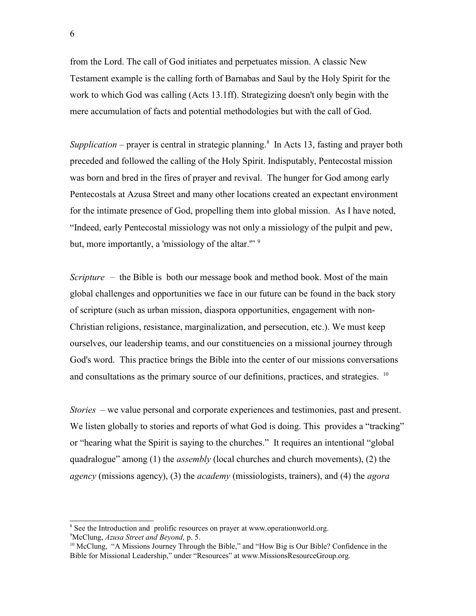from the Lord. The call of God initiates and perpetuates mission. A classic New Testament example is the calling forth of Barnabas and Saul by the Holy Spirit for the work to which God was calling (Acts 13.1ff). Strategizing doesn't only begin with the mere accumulation of facts and potential methodologies but with the call of God.

Supplication – prayer is central in strategic planning.<sup>8</sup> In Acts 13, fasting and prayer both preceded and followed the calling of the Holy Spirit. Indisputably, Pentecostal mission was born and bred in the fires of prayer and revival. The hunger for God among early Pentecostals at Azusa Street and many other locations created an expectant environment for the intimate presence of God, propelling them into global mission. As I have noted, "Indeed, early Pentecostal missiology was not only a missiology of the pulpit and pew, but, more importantly, a 'missiology of the altar."<sup>9</sup>

Scripture  $-$  the Bible is both our message book and method book. Most of the main global challenges and opportunities we face in our future can be found in the back story of scripture (such as urban mission, diaspora opportunities, engagement with non-Christian religions, resistance, marginalization, and persecution, etc.). We must keep ourselves, our leadership teams, and our constituencies on a missional journey through God's word. This practice brings the Bible into the center of our missions conversations and consultations as the primary source of our definitions, practices, and strategies.  $10$ 

Stories – we value personal and corporate experiences and testimonies, past and present. We listen globally to stories and reports of what God is doing. This provides a "tracking" or "hearing what the Spirit is saying to the churches." It requires an intentional "global quadralogue" among (1) the *assembly* (local churches and church movements), (2) the *agency* (missions agency), (3) the *academy* (missiologists, trainers), and (4) the *agora* 

<sup>&</sup>lt;sup>8</sup> See the Introduction and prolific resources on prayer at www.operationworld.org.

<sup>&</sup>lt;sup>9</sup>McClung, Azusa Street and Beyond, p. 5.

 $10$  McClung, "A Missions Journey Through the Bible," and "How Big is Our Bible? Confidence in the Bible for Missional Leadership," under "Resources" at www.MissionsResourceGroup.org.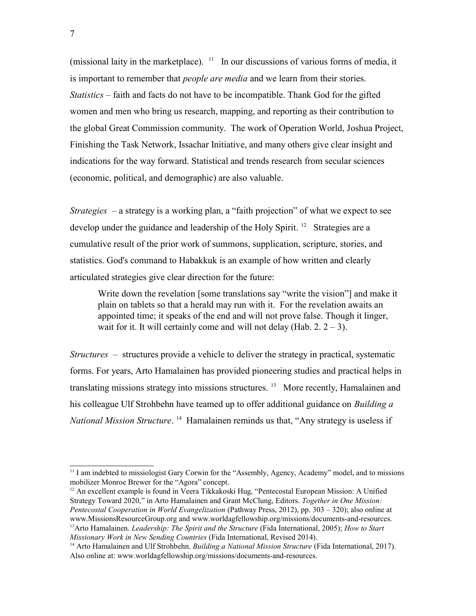(missional laity in the marketplace).  $11$  In our discussions of various forms of media, it is important to remember that *people are media* and we learn from their stories. Statistics – faith and facts do not have to be incompatible. Thank God for the gifted women and men who bring us research, mapping, and reporting as their contribution to the global Great Commission community. The work of Operation World, Joshua Project, Finishing the Task Network, Issachar Initiative, and many others give clear insight and indications for the way forward. Statistical and trends research from secular sciences (economic, political, and demographic) are also valuable.

*Strategies* – a strategy is a working plan, a "faith projection" of what we expect to see develop under the guidance and leadership of the Holy Spirit. <sup>12</sup> Strategies are a cumulative result of the prior work of summons, supplication, scripture, stories, and statistics. God's command to Habakkuk is an example of how written and clearly articulated strategies give clear direction for the future:

Write down the revelation [some translations say "write the vision"] and make it plain on tablets so that a herald may run with it. For the revelation awaits an appointed time; it speaks of the end and will not prove false. Though it linger, wait for it. It will certainly come and will not delay (Hab.  $2. 2 - 3$ ).

Structures – structures provide a vehicle to deliver the strategy in practical, systematic forms. For years, Arto Hamalainen has provided pioneering studies and practical helps in translating missions strategy into missions structures.<sup>13</sup> More recently, Hamalainen and his colleague Ulf Strohbehn have teamed up to offer additional guidance on *Building a* National Mission Structure.<sup>14</sup> Hamalainen reminds us that, "Any strategy is useless if

 $11$  I am indebted to missiologist Gary Corwin for the "Assembly, Agency, Academy" model, and to missions mobilizer Monroe Brewer for the "Agora" concept.

 $12$  An excellent example is found in Veera Tikkakoski Hug, "Pentecostal European Mission: A Unified Strategy Toward 2020," in Arto Hamalainen and Grant McClung, Editors. Together in One Mission: Pentecostal Cooperation in World Evangelization (Pathway Press, 2012), pp. 303 – 320); also online at www.MissionsResourceGroup.org and www.worldagfellowship.org/missions/documents-and-resources.  $13$ Arto Hamalainen. *Leadership: The Spirit and the Structure* (Fida International, 2005); *How to Start* Missionary Work in New Sending Countries (Fida International, Revised 2014).

<sup>&</sup>lt;sup>14</sup> Arto Hamalainen and Ulf Strohbehn. Building a National Mission Structure (Fida International, 2017). Also online at: www.worldagfellowship.org/missions/documents-and-resources.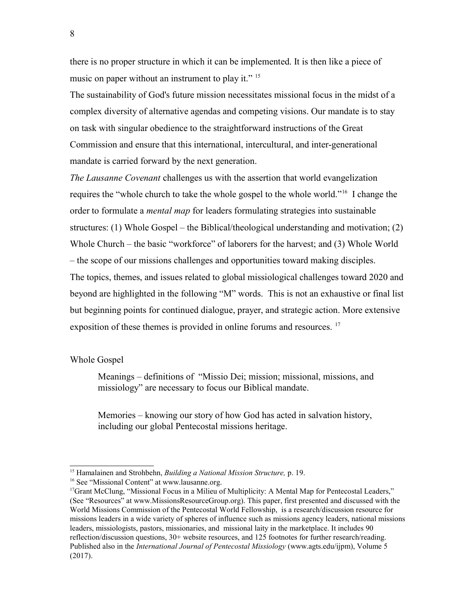there is no proper structure in which it can be implemented. It is then like a piece of music on paper without an instrument to play it." <sup>15</sup>

The sustainability of God's future mission necessitates missional focus in the midst of a complex diversity of alternative agendas and competing visions. Our mandate is to stay on task with singular obedience to the straightforward instructions of the Great Commission and ensure that this international, intercultural, and inter-generational mandate is carried forward by the next generation.

The Lausanne Covenant challenges us with the assertion that world evangelization requires the "whole church to take the whole gospel to the whole world."<sup>16</sup> I change the order to formulate a *mental map* for leaders formulating strategies into sustainable structures: (1) Whole Gospel – the Biblical/theological understanding and motivation; (2) Whole Church – the basic "workforce" of laborers for the harvest; and (3) Whole World – the scope of our missions challenges and opportunities toward making disciples. The topics, themes, and issues related to global missiological challenges toward 2020 and beyond are highlighted in the following "M" words. This is not an exhaustive or final list but beginning points for continued dialogue, prayer, and strategic action. More extensive exposition of these themes is provided in online forums and resources. <sup>17</sup>

## Whole Gospel

Meanings – definitions of "Missio Dei; mission; missional, missions, and missiology" are necessary to focus our Biblical mandate.

Memories – knowing our story of how God has acted in salvation history, including our global Pentecostal missions heritage.

<sup>&</sup>lt;sup>15</sup> Hamalainen and Strohbehn, *Building a National Mission Structure*, p. 19.

<sup>&</sup>lt;sup>16</sup> See "Missional Content" at www.lausanne.org.

<sup>&</sup>lt;sup>17</sup>Grant McClung, "Missional Focus in a Milieu of Multiplicity: A Mental Map for Pentecostal Leaders," (See "Resources" at www.MissionsResourceGroup.org). This paper, first presented and discussed with the World Missions Commission of the Pentecostal World Fellowship, is a research/discussion resource for missions leaders in a wide variety of spheres of influence such as missions agency leaders, national missions leaders, missiologists, pastors, missionaries, and missional laity in the marketplace. It includes 90 reflection/discussion questions, 30+ website resources, and 125 footnotes for further research/reading. Published also in the *International Journal of Pentecostal Missiology* (www.agts.edu/ijpm), Volume 5 (2017).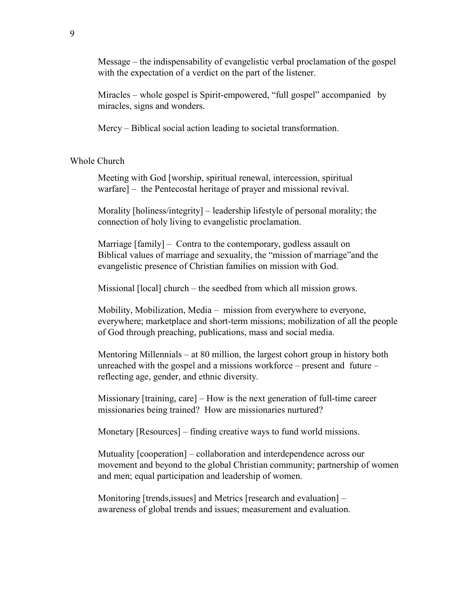Message – the indispensability of evangelistic verbal proclamation of the gospel with the expectation of a verdict on the part of the listener.

Miracles – whole gospel is Spirit-empowered, "full gospel" accompanied by miracles, signs and wonders.

Mercy – Biblical social action leading to societal transformation.

Whole Church

Meeting with God [worship, spiritual renewal, intercession, spiritual warfare] – the Pentecostal heritage of prayer and missional revival.

Morality [holiness/integrity] – leadership lifestyle of personal morality; the connection of holy living to evangelistic proclamation.

Marriage [family] – Contra to the contemporary, godless assault on Biblical values of marriage and sexuality, the "mission of marriage"and the evangelistic presence of Christian families on mission with God.

Missional [local] church – the seedbed from which all mission grows.

Mobility, Mobilization, Media – mission from everywhere to everyone, everywhere; marketplace and short-term missions; mobilization of all the people of God through preaching, publications, mass and social media.

Mentoring Millennials – at 80 million, the largest cohort group in history both unreached with the gospel and a missions workforce – present and future – reflecting age, gender, and ethnic diversity.

Missionary [training, care] – How is the next generation of full-time career missionaries being trained? How are missionaries nurtured?

Monetary [Resources] – finding creative ways to fund world missions.

Mutuality [cooperation] – collaboration and interdependence across our movement and beyond to the global Christian community; partnership of women and men; equal participation and leadership of women.

Monitoring [trends,issues] and Metrics [research and evaluation] – awareness of global trends and issues; measurement and evaluation.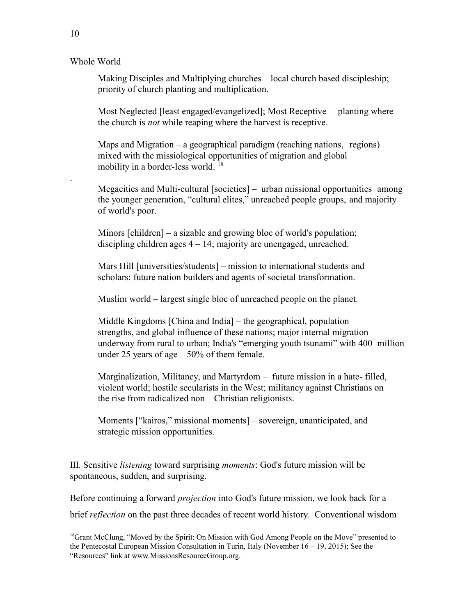Whole World

Making Disciples and Multiplying churches – local church based discipleship; priority of church planting and multiplication.

Most Neglected [least engaged/evangelized]; Most Receptive – planting where the church is *not* while reaping where the harvest is receptive.

Maps and Migration – a geographical paradigm (reaching nations, regions) mixed with the missiological opportunities of migration and global mobility in a border-less world.<sup>18</sup>

Megacities and Multi-cultural [societies] – urban missional opportunities among the younger generation, "cultural elites," unreached people groups, and majority of world's poor.

Minors [children] – a sizable and growing bloc of world's population; discipling children ages 4 – 14; majority are unengaged, unreached.

Mars Hill [universities/students] – mission to international students and scholars: future nation builders and agents of societal transformation.

Muslim world – largest single bloc of unreached people on the planet.

Middle Kingdoms [China and India] – the geographical, population strengths, and global influence of these nations; major internal migration underway from rural to urban; India's "emerging youth tsunami" with 400 million under 25 years of age  $-50\%$  of them female.

Marginalization, Militancy, and Martyrdom – future mission in a hate- filled, violent world; hostile secularists in the West; militancy against Christians on the rise from radicalized non – Christian religionists.

Moments ["kairos," missional moments] – sovereign, unanticipated, and strategic mission opportunities.

III. Sensitive listening toward surprising moments: God's future mission will be spontaneous, sudden, and surprising.

Before continuing a forward *projection* into God's future mission, we look back for a brief *reflection* on the past three decades of recent world history. Conventional wisdom

.

 $18$ Grant McClung, "Moved by the Spirit: On Mission with God Among People on the Move" presented to the Pentecostal European Mission Consultation in Turin, Italy (November 16 – 19, 2015); See the "Resources" link at www.MissionsResourceGroup.org.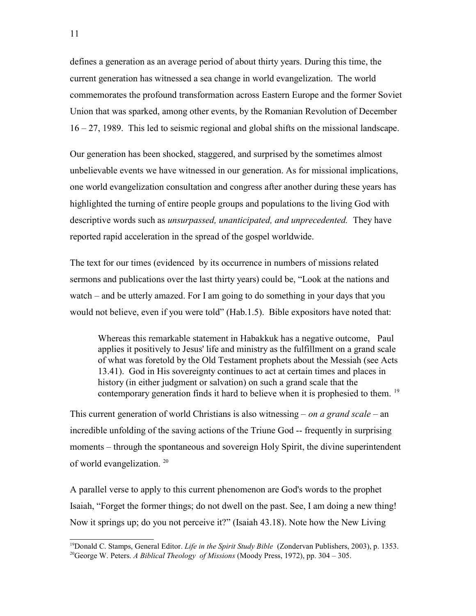defines a generation as an average period of about thirty years. During this time, the current generation has witnessed a sea change in world evangelization. The world commemorates the profound transformation across Eastern Europe and the former Soviet Union that was sparked, among other events, by the Romanian Revolution of December 16 – 27, 1989. This led to seismic regional and global shifts on the missional landscape.

Our generation has been shocked, staggered, and surprised by the sometimes almost unbelievable events we have witnessed in our generation. As for missional implications, one world evangelization consultation and congress after another during these years has highlighted the turning of entire people groups and populations to the living God with descriptive words such as *unsurpassed, unanticipated, and unprecedented*. They have reported rapid acceleration in the spread of the gospel worldwide.

The text for our times (evidenced by its occurrence in numbers of missions related sermons and publications over the last thirty years) could be, "Look at the nations and watch – and be utterly amazed. For I am going to do something in your days that you would not believe, even if you were told" (Hab.1.5). Bible expositors have noted that:

Whereas this remarkable statement in Habakkuk has a negative outcome, Paul applies it positively to Jesus' life and ministry as the fulfillment on a grand scale of what was foretold by the Old Testament prophets about the Messiah (see Acts 13.41). God in His sovereignty continues to act at certain times and places in history (in either judgment or salvation) on such a grand scale that the contemporary generation finds it hard to believe when it is prophesied to them. <sup>19</sup>

This current generation of world Christians is also witnessing – on a grand scale – an incredible unfolding of the saving actions of the Triune God -- frequently in surprising moments – through the spontaneous and sovereign Holy Spirit, the divine superintendent of world evangelization.<sup>20</sup>

A parallel verse to apply to this current phenomenon are God's words to the prophet Isaiah, "Forget the former things; do not dwell on the past. See, I am doing a new thing! Now it springs up; do you not perceive it?" (Isaiah 43.18). Note how the New Living

<sup>&</sup>lt;sup>19</sup>Donald C. Stamps, General Editor. *Life in the Spirit Study Bible* (Zondervan Publishers, 2003), p. 1353. <sup>20</sup>George W. Peters. A Biblical Theology of Missions (Moody Press, 1972), pp. 304 – 305.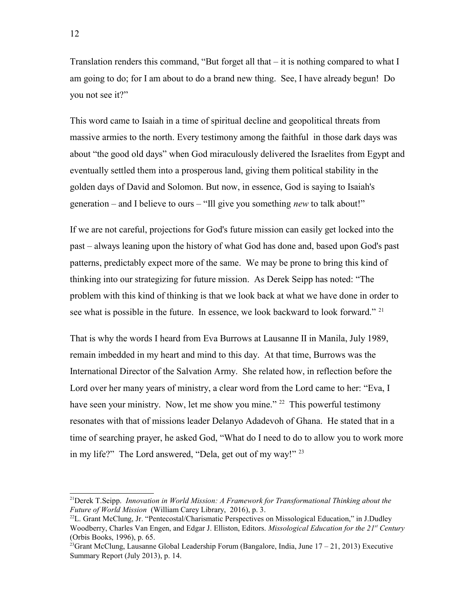Translation renders this command, "But forget all that  $-$  it is nothing compared to what I am going to do; for I am about to do a brand new thing. See, I have already begun! Do you not see it?"

This word came to Isaiah in a time of spiritual decline and geopolitical threats from massive armies to the north. Every testimony among the faithful in those dark days was about "the good old days" when God miraculously delivered the Israelites from Egypt and eventually settled them into a prosperous land, giving them political stability in the golden days of David and Solomon. But now, in essence, God is saying to Isaiah's generation – and I believe to ours – "Ill give you something *new* to talk about!"

If we are not careful, projections for God's future mission can easily get locked into the past – always leaning upon the history of what God has done and, based upon God's past patterns, predictably expect more of the same. We may be prone to bring this kind of thinking into our strategizing for future mission. As Derek Seipp has noted: "The problem with this kind of thinking is that we look back at what we have done in order to see what is possible in the future. In essence, we look backward to look forward." <sup>21</sup>

That is why the words I heard from Eva Burrows at Lausanne II in Manila, July 1989, remain imbedded in my heart and mind to this day. At that time, Burrows was the International Director of the Salvation Army. She related how, in reflection before the Lord over her many years of ministry, a clear word from the Lord came to her: "Eva, I have seen your ministry. Now, let me show you mine."<sup>22</sup> This powerful testimony resonates with that of missions leader Delanyo Adadevoh of Ghana. He stated that in a time of searching prayer, he asked God, "What do I need to do to allow you to work more in my life?" The Lord answered, "Dela, get out of my way!" <sup>23</sup>

<sup>&</sup>lt;sup>21</sup>Derek T.Seipp. Innovation in World Mission: A Framework for Transformational Thinking about the Future of World Mission (William Carey Library, 2016), p. 3.

 $^{22}$ L. Grant McClung, Jr. "Pentecostal/Charismatic Perspectives on Missological Education," in J.Dudley Woodberry, Charles Van Engen, and Edgar J. Elliston, Editors. Missological Education for the 21st Century (Orbis Books, 1996), p. 65.

<sup>&</sup>lt;sup>23</sup>Grant McClung, Lausanne Global Leadership Forum (Bangalore, India, June  $17 - 21$ , 2013) Executive Summary Report (July 2013), p. 14.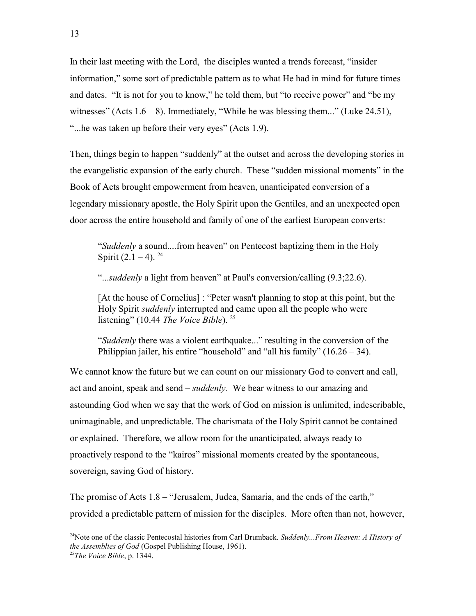In their last meeting with the Lord, the disciples wanted a trends forecast, "insider information," some sort of predictable pattern as to what He had in mind for future times and dates. "It is not for you to know," he told them, but "to receive power" and "be my witnesses" (Acts  $1.6 - 8$ ). Immediately, "While he was blessing them..." (Luke 24.51), "...he was taken up before their very eyes" (Acts 1.9).

Then, things begin to happen "suddenly" at the outset and across the developing stories in the evangelistic expansion of the early church. These "sudden missional moments" in the Book of Acts brought empowerment from heaven, unanticipated conversion of a legendary missionary apostle, the Holy Spirit upon the Gentiles, and an unexpected open door across the entire household and family of one of the earliest European converts:

"Suddenly a sound....from heaven" on Pentecost baptizing them in the Holy Spirit  $(2.1 - 4)$ . <sup>24</sup>

"...suddenly a light from heaven" at Paul's conversion/calling (9.3;22.6).

[At the house of Cornelius] : "Peter wasn't planning to stop at this point, but the Holy Spirit *suddenly* interrupted and came upon all the people who were listening" (10.44 *The Voice Bible*). <sup>25</sup>

"Suddenly there was a violent earthquake..." resulting in the conversion of the Philippian jailer, his entire "household" and "all his family"  $(16.26 - 34)$ .

We cannot know the future but we can count on our missionary God to convert and call, act and anoint, speak and send – *suddenly*. We bear witness to our amazing and astounding God when we say that the work of God on mission is unlimited, indescribable, unimaginable, and unpredictable. The charismata of the Holy Spirit cannot be contained or explained. Therefore, we allow room for the unanticipated, always ready to proactively respond to the "kairos" missional moments created by the spontaneous, sovereign, saving God of history.

The promise of Acts 1.8 – "Jerusalem, Judea, Samaria, and the ends of the earth," provided a predictable pattern of mission for the disciples. More often than not, however,

<sup>&</sup>lt;sup>24</sup>Note one of the classic Pentecostal histories from Carl Brumback. Suddenly...From Heaven: A History of the Assemblies of God (Gospel Publishing House, 1961).

 $25$ The Voice Bible, p. 1344.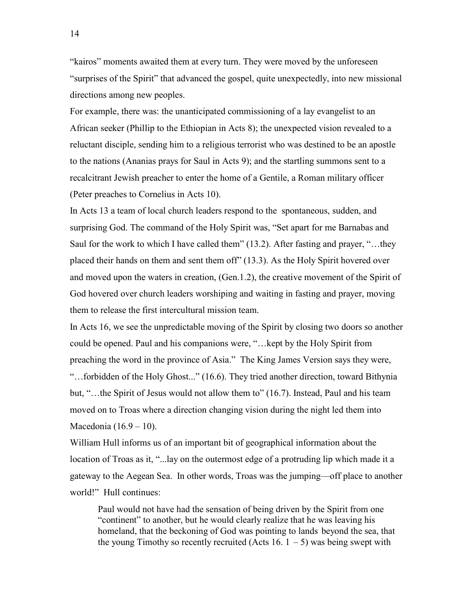"kairos" moments awaited them at every turn. They were moved by the unforeseen "surprises of the Spirit" that advanced the gospel, quite unexpectedly, into new missional directions among new peoples.

For example, there was: the unanticipated commissioning of a lay evangelist to an African seeker (Phillip to the Ethiopian in Acts 8); the unexpected vision revealed to a reluctant disciple, sending him to a religious terrorist who was destined to be an apostle to the nations (Ananias prays for Saul in Acts 9); and the startling summons sent to a recalcitrant Jewish preacher to enter the home of a Gentile, a Roman military officer (Peter preaches to Cornelius in Acts 10).

In Acts 13 a team of local church leaders respond to the spontaneous, sudden, and surprising God. The command of the Holy Spirit was, "Set apart for me Barnabas and Saul for the work to which I have called them" (13.2). After fasting and prayer, "…they placed their hands on them and sent them off" (13.3). As the Holy Spirit hovered over and moved upon the waters in creation, (Gen.1.2), the creative movement of the Spirit of God hovered over church leaders worshiping and waiting in fasting and prayer, moving them to release the first intercultural mission team.

In Acts 16, we see the unpredictable moving of the Spirit by closing two doors so another could be opened. Paul and his companions were, "…kept by the Holy Spirit from preaching the word in the province of Asia." The King James Version says they were, "…forbidden of the Holy Ghost..." (16.6). They tried another direction, toward Bithynia but, "…the Spirit of Jesus would not allow them to" (16.7). Instead, Paul and his team moved on to Troas where a direction changing vision during the night led them into Macedonia (16.9 – 10).

William Hull informs us of an important bit of geographical information about the location of Troas as it, "...lay on the outermost edge of a protruding lip which made it a gateway to the Aegean Sea. In other words, Troas was the jumping—off place to another world!" Hull continues:

Paul would not have had the sensation of being driven by the Spirit from one "continent" to another, but he would clearly realize that he was leaving his homeland, that the beckoning of God was pointing to lands beyond the sea, that the young Timothy so recently recruited (Acts 16.  $1 - 5$ ) was being swept with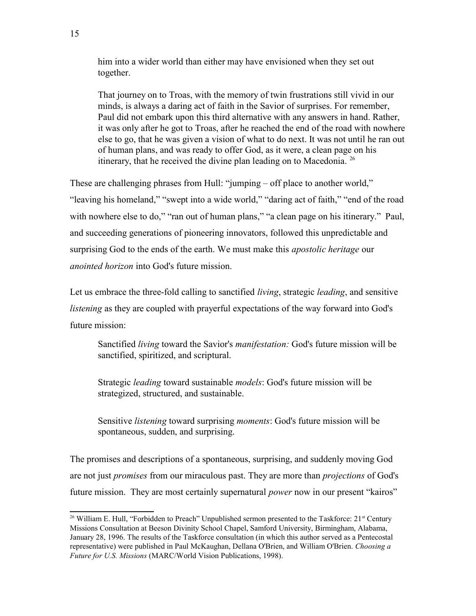him into a wider world than either may have envisioned when they set out together.

That journey on to Troas, with the memory of twin frustrations still vivid in our minds, is always a daring act of faith in the Savior of surprises. For remember, Paul did not embark upon this third alternative with any answers in hand. Rather, it was only after he got to Troas, after he reached the end of the road with nowhere else to go, that he was given a vision of what to do next. It was not until he ran out of human plans, and was ready to offer God, as it were, a clean page on his itinerary, that he received the divine plan leading on to Macedonia. <sup>26</sup>

These are challenging phrases from Hull: "jumping – off place to another world," "leaving his homeland," "swept into a wide world," "daring act of faith," "end of the road with nowhere else to do," "ran out of human plans," "a clean page on his itinerary." Paul, and succeeding generations of pioneering innovators, followed this unpredictable and surprising God to the ends of the earth. We must make this *apostolic heritage* our anointed horizon into God's future mission.

Let us embrace the three-fold calling to sanctified *living*, strategic *leading*, and sensitive listening as they are coupled with prayerful expectations of the way forward into God's future mission:

Sanctified living toward the Savior's manifestation: God's future mission will be sanctified, spiritized, and scriptural.

Strategic *leading* toward sustainable *models*: God's future mission will be strategized, structured, and sustainable.

Sensitive *listening* toward surprising *moments*: God's future mission will be spontaneous, sudden, and surprising.

The promises and descriptions of a spontaneous, surprising, and suddenly moving God are not just *promises* from our miraculous past. They are more than *projections* of God's future mission. They are most certainly supernatural *power* now in our present "kairos"

<sup>&</sup>lt;sup>26</sup> William E. Hull, "Forbidden to Preach" Unpublished sermon presented to the Taskforce: 21<sup>st</sup> Century Missions Consultation at Beeson Divinity School Chapel, Samford University, Birmingham, Alabama, January 28, 1996. The results of the Taskforce consultation (in which this author served as a Pentecostal representative) were published in Paul McKaughan, Dellana O'Brien, and William O'Brien. Choosing a Future for U.S. Missions (MARC/World Vision Publications, 1998).